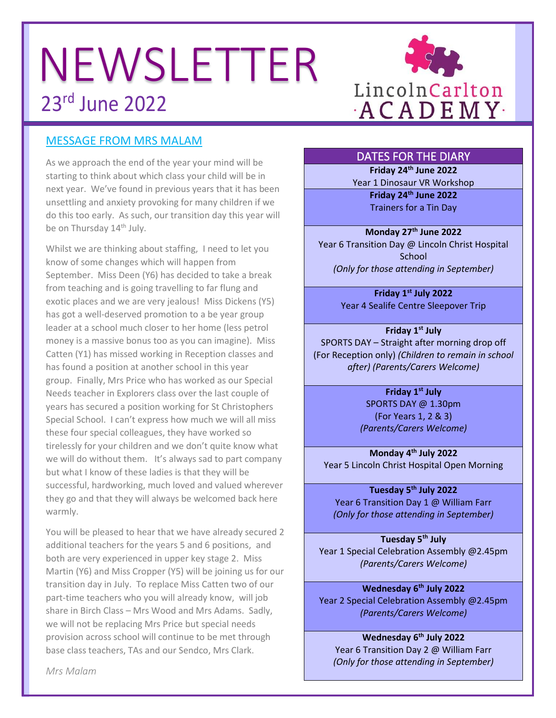# NEWSLETTER 23rd June 2022



# MESSAGE FROM MRS MALAM

As we approach the end of the year your mind will be starting to think about which class your child will be in next year. We've found in previous years that it has been unsettling and anxiety provoking for many children if we do this too early. As such, our transition day this year will be on Thursday 14<sup>th</sup> July.

Whilst we are thinking about staffing, I need to let you know of some changes which will happen from September. Miss Deen (Y6) has decided to take a break from teaching and is going travelling to far flung and exotic places and we are very jealous! Miss Dickens (Y5) has got a well-deserved promotion to a be year group leader at a school much closer to her home (less petrol money is a massive bonus too as you can imagine). Miss Catten (Y1) has missed working in Reception classes and has found a position at another school in this year group. Finally, Mrs Price who has worked as our Special Needs teacher in Explorers class over the last couple of years has secured a position working for St Christophers Special School. I can't express how much we will all miss these four special colleagues, they have worked so tirelessly for your children and we don't quite know what we will do without them. It's always sad to part company but what I know of these ladies is that they will be successful, hardworking, much loved and valued wherever they go and that they will always be welcomed back here warmly.

You will be pleased to hear that we have already secured 2 additional teachers for the years 5 and 6 positions, and both are very experienced in upper key stage 2. Miss Martin (Y6) and Miss Cropper (Y5) will be joining us for our transition day in July. To replace Miss Catten two of our part-time teachers who you will already know, will job share in Birch Class – Mrs Wood and Mrs Adams. Sadly, we will not be replacing Mrs Price but special needs provision across school will continue to be met through base class teachers, TAs and our Sendco, Mrs Clark.

#### DATES FOR THE DIARY

**Friday 24th June 2022** Year 1 Dinosaur VR Workshop

> **Friday 24th June 2022** Trainers for a Tin Day

**Monday 27th June 2022** Year 6 Transition Day @ Lincoln Christ Hospital **School** *(Only for those attending in September)*

> **Friday 1st July 2022** Year 4 Sealife Centre Sleepover Trip

**Friday 1st July** SPORTS DAY – Straight after morning drop off (For Reception only) *(Children to remain in school after) (Parents/Carers Welcome)*

> **Friday 1st July** SPORTS DAY @ 1.30pm (For Years 1, 2 & 3) *(Parents/Carers Welcome)*

**Monday 4th July 2022** Year 5 Lincoln Christ Hospital Open Morning

**Tuesday 5th July 2022** Year 6 Transition Day 1 @ William Farr *(Only for those attending in September)*

**Tuesday 5th July** Year 1 Special Celebration Assembly @2.45pm *(Parents/Carers Welcome)*

**Wednesday 6th July 2022** Year 2 Special Celebration Assembly @2.45pm *(Parents/Carers Welcome)*

**Wednesday 6th July 2022** Year 6 Transition Day 2 @ William Farr *(Only for those attending in September)*

*Mrs Malam*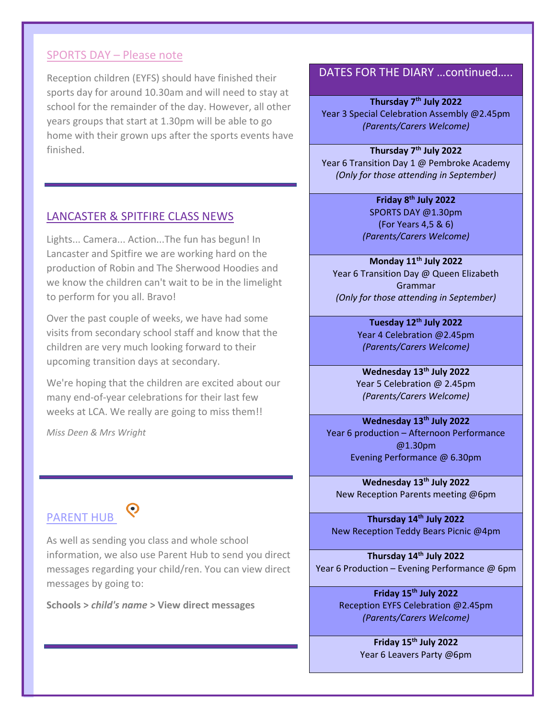#### SPORTS DAY – Please note

Reception children (EYFS) should have finished their sports day for around 10.30am and will need to stay at school for the remainder of the day. However, all other years groups that start at 1.30pm will be able to go home with their grown ups after the sports events have finished.

#### LANCASTER & SPITFIRE CLASS NEWS

Lights... Camera... Action...The fun has begun! In Lancaster and Spitfire we are working hard on the production of Robin and The Sherwood Hoodies and we know the children can't wait to be in the limelight to perform for you all. Bravo!

Over the past couple of weeks, we have had some visits from secondary school staff and know that the children are very much looking forward to their upcoming transition days at secondary.

We're hoping that the children are excited about our many end-of-year celebrations for their last few weeks at LCA. We really are going to miss them!!

*Miss Deen & Mrs Wright* 

# PARENT HUB



As well as sending you class and whole school information, we also use Parent Hub to send you direct messages regarding your child/ren. You can view direct messages by going to:

**Schools >** *child's name* **> View direct messages**

#### DATES FOR THE DIARY …continued…..

**Thursday 7th July 2022** Year 3 Special Celebration Assembly @2.45pm *(Parents/Carers Welcome)*

**Thursday 7th July 2022** Year 6 Transition Day 1 @ Pembroke Academy *(Only for those attending in September)*

> **Friday 8th July 2022** SPORTS DAY @1.30pm (For Years 4,5 & 6) *(Parents/Carers Welcome)*

**Monday 11th July 2022** Year 6 Transition Day @ Queen Elizabeth Grammar *(Only for those attending in September)*

> **Tuesday 12th July 2022** Year 4 Celebration @2.45pm *(Parents/Carers Welcome)*

**Wednesday 13th July 2022** Year 5 Celebration @ 2.45pm *(Parents/Carers Welcome)*

**Wednesday 13th July 2022** Year 6 production – Afternoon Performance @1.30pm Evening Performance @ 6.30pm

**Wednesday 13th July 2022** New Reception Parents meeting @6pm

**Thursday 14th July 2022** New Reception Teddy Bears Picnic @4pm

**Thursday 14th July 2022** Year 6 Production – Evening Performance @ 6pm

> **Friday 15th July 2022** Reception EYFS Celebration @2.45pm *(Parents/Carers Welcome)*

> > **Friday 15th July 2022** Year 6 Leavers Party @6pm